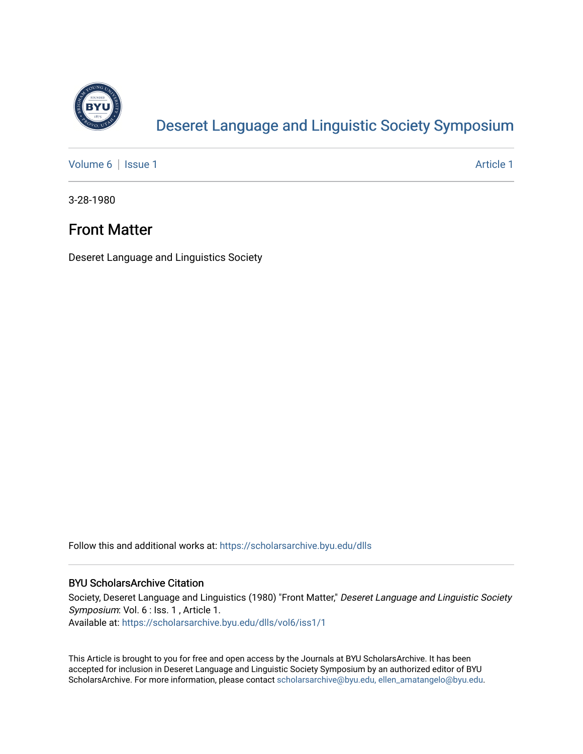

# [Deseret Language and Linguistic Society Symposium](https://scholarsarchive.byu.edu/dlls)

[Volume 6](https://scholarsarchive.byu.edu/dlls/vol6) | [Issue 1](https://scholarsarchive.byu.edu/dlls/vol6/iss1) Article 1

3-28-1980

# Front Matter

Deseret Language and Linguistics Society

Follow this and additional works at: [https://scholarsarchive.byu.edu/dlls](https://scholarsarchive.byu.edu/dlls?utm_source=scholarsarchive.byu.edu%2Fdlls%2Fvol6%2Fiss1%2F1&utm_medium=PDF&utm_campaign=PDFCoverPages) 

## BYU ScholarsArchive Citation

Society, Deseret Language and Linguistics (1980) "Front Matter," Deseret Language and Linguistic Society Symposium: Vol. 6 : Iss. 1 , Article 1. Available at: [https://scholarsarchive.byu.edu/dlls/vol6/iss1/1](https://scholarsarchive.byu.edu/dlls/vol6/iss1/1?utm_source=scholarsarchive.byu.edu%2Fdlls%2Fvol6%2Fiss1%2F1&utm_medium=PDF&utm_campaign=PDFCoverPages) 

This Article is brought to you for free and open access by the Journals at BYU ScholarsArchive. It has been accepted for inclusion in Deseret Language and Linguistic Society Symposium by an authorized editor of BYU ScholarsArchive. For more information, please contact [scholarsarchive@byu.edu, ellen\\_amatangelo@byu.edu.](mailto:scholarsarchive@byu.edu,%20ellen_amatangelo@byu.edu)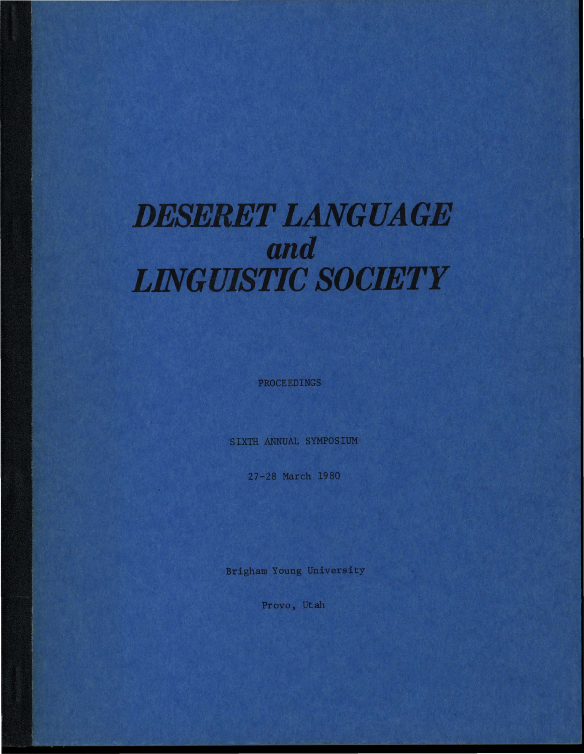# **DESERET LANGUAGE** and **LINGUISTIC SOCIETY**

PROCEEDINGS

SIXTH ANNUAL SYMPOSIUM

27-28 March 1980

Brigham Young University

Provo, Utah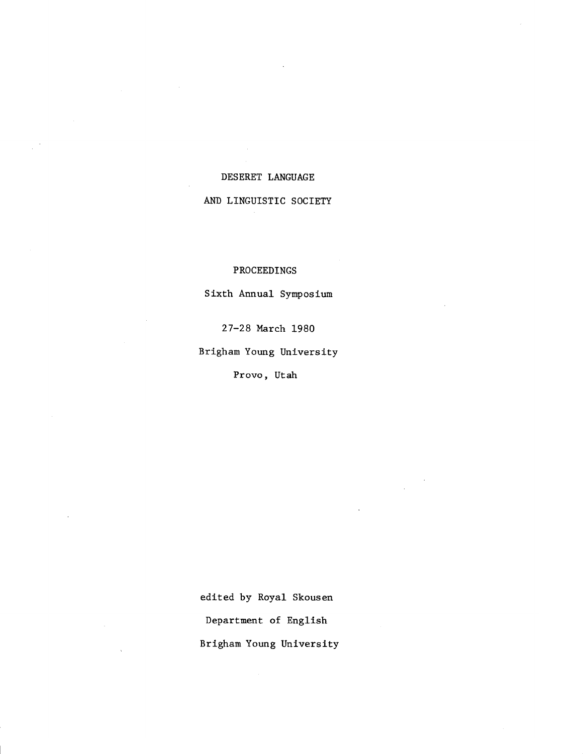#### DESERET LANGUAGE

#### AND LINGUISTIC SOCIETY

#### PROCEEDINGS

Sixth Annual Symposium

27-28 March 1980

Brigham Young University

Provo, Utah

edited by Royal Skousen Department of English Brigham Young University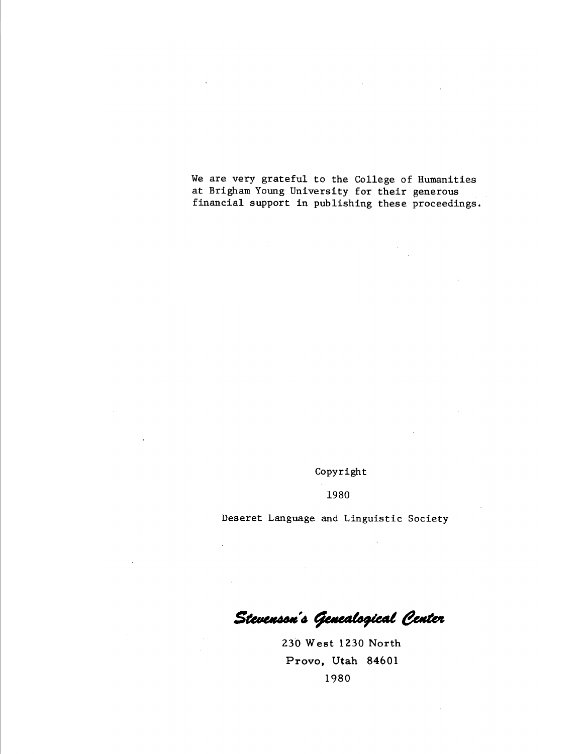We are very grateful to the College of Humanities at Brigham Young University for their generous financial support in publishing these proceedings.

Copyright

1980

Deseret Language and Linguistic Society

Stevenson's Genealogical Center

230 West 1230 North Provo, Utah 84601 1980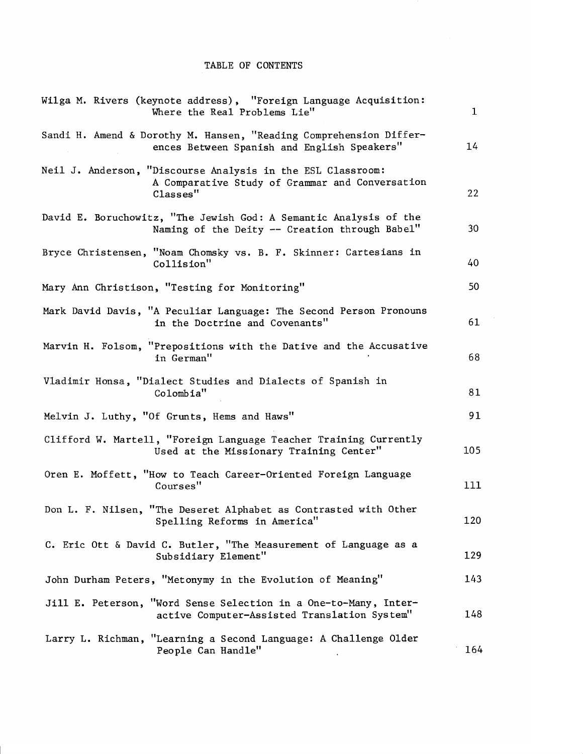## TABLE OF CONTENTS

| Wilga M. Rivers (keynote address), "Foreign Language Acquisition:<br>Where the Real Problems Lie"                          | $\mathbf 1$ |
|----------------------------------------------------------------------------------------------------------------------------|-------------|
| Sandi H. Amend & Dorothy M. Hansen, "Reading Comprehension Differ-<br>ences Between Spanish and English Speakers"          | 14          |
| Neil J. Anderson, "Discourse Analysis in the ESL Classroom:<br>A Comparative Study of Grammar and Conversation<br>Classes" | 22          |
| David E. Boruchowitz, "The Jewish God: A Semantic Analysis of the<br>Naming of the Deity -- Creation through Babel"        | 30          |
| Bryce Christensen, "Noam Chomsky vs. B. F. Skinner: Cartesians in<br>Collision"                                            | 40          |
| Mary Ann Christison, "Testing for Monitoring"                                                                              | 50          |
| Mark David Davis, "A Peculiar Language: The Second Person Pronouns<br>in the Doctrine and Covenants"                       | 61          |
| Marvin H. Folsom, "Prepositions with the Dative and the Accusative<br>in German"                                           | 68          |
| Vladimir Honsa, "Dialect Studies and Dialects of Spanish in<br>Colombia"                                                   | 81          |
| Melvin J. Luthy, "Of Grunts, Hems and Haws"                                                                                | 91          |
| Clifford W. Martell, "Foreign Language Teacher Training Currently<br>Used at the Missionary Training Center"               | 105         |
| Oren E. Moffett, "How to Teach Career-Oriented Foreign Language<br>Courses"                                                | 111         |
| Don L. F. Nilsen, "The Deseret Alphabet as Contrasted with Other<br>Spelling Reforms in America"                           | 120         |
| C. Eric Ott & David C. Butler, "The Measurement of Language as a<br>Subsidiary Element"                                    | 129         |
| John Durham Peters, "Metonymy in the Evolution of Meaning"                                                                 | 143         |
| Jill E. Peterson, "Word Sense Selection in a One-to-Many, Inter-<br>active Computer-Assisted Translation System"           | 148         |
| Larry L. Richman, "Learning a Second Language: A Challenge Older<br>People Can Handle"                                     | 164         |